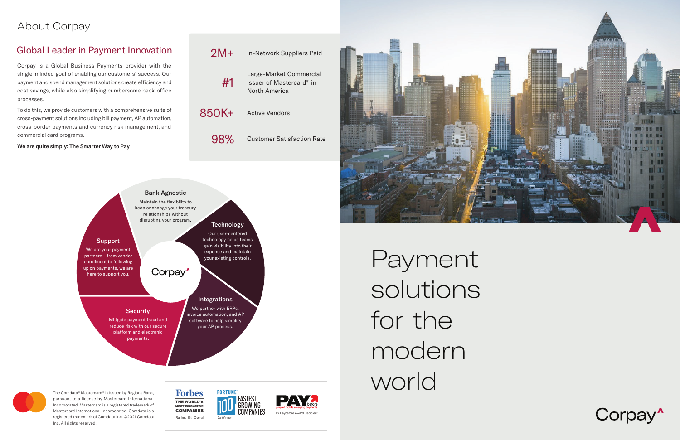Payment solutions for the modern world





## Global Leader in Payment Innovation

The Comdata® Mastercard® is issued by Regions Bank, pursuant to a license by Mastercard International Incorporated. Mastercard is a registered trademark of Mastercard International Incorporated. Comdata is a registered trademark of Comdata Inc. ©2021 Comdata Inc. All rights reserved.

**Forbes** THE WORLD'S **MOST INNOVATIVE COMPANIES** Ranked 16th Overall 2x Winner



# About Corpay



| $2M+$ | <b>In-Network Suppliers Paid</b>                                     |  |
|-------|----------------------------------------------------------------------|--|
| #1    | Large-Market Commercial<br>Issuer of Mastercard® in<br>North America |  |
| 850K+ | <b>Active Vendors</b>                                                |  |
| 98%   | <b>Customer Satisfaction Rate</b>                                    |  |





Corpay is a Global Business Payments provider with the single-minded goal of enabling our customers' success. Our payment and spend management solutions create efficiency and cost savings, while also simplifying cumbersome back-office processes.

To do this, we provide customers with a comprehensive suite of cross-payment solutions including bill payment, AP automation, cross-border payments and currency risk management, and commercial card programs.

We are quite simply: The Smarter Way to Pay